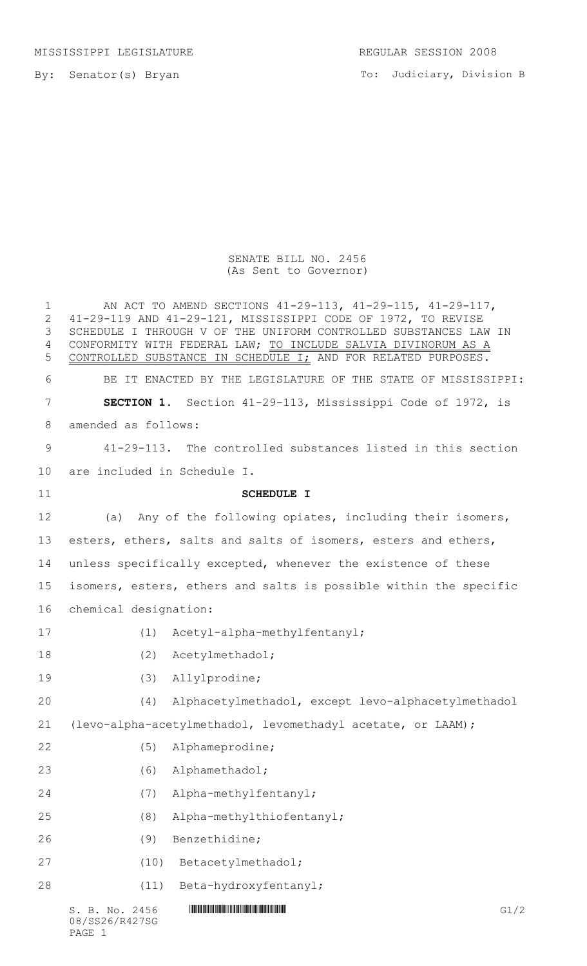MISSISSIPPI LEGISLATURE REGULAR SESSION 2008

By: Senator(s) Bryan

To: Judiciary, Division B

## SENATE BILL NO. 2456 (As Sent to Governor)

| $\mathbf 1$<br>$\overline{2}$<br>3<br>4<br>5 |                                                                   | AN ACT TO AMEND SECTIONS 41-29-113, 41-29-115, 41-29-117,<br>41-29-119 AND 41-29-121, MISSISSIPPI CODE OF 1972, TO REVISE<br>SCHEDULE I THROUGH V OF THE UNIFORM CONTROLLED SUBSTANCES LAW IN<br>CONFORMITY WITH FEDERAL LAW; TO INCLUDE SALVIA DIVINORUM AS A<br>CONTROLLED SUBSTANCE IN SCHEDULE I; AND FOR RELATED PURPOSES. |      |
|----------------------------------------------|-------------------------------------------------------------------|---------------------------------------------------------------------------------------------------------------------------------------------------------------------------------------------------------------------------------------------------------------------------------------------------------------------------------|------|
| 6                                            |                                                                   | BE IT ENACTED BY THE LEGISLATURE OF THE STATE OF MISSISSIPPI:                                                                                                                                                                                                                                                                   |      |
| 7                                            |                                                                   | SECTION 1. Section 41-29-113, Mississippi Code of 1972, is                                                                                                                                                                                                                                                                      |      |
| 8                                            | amended as follows:                                               |                                                                                                                                                                                                                                                                                                                                 |      |
| 9                                            |                                                                   | 41-29-113. The controlled substances listed in this section                                                                                                                                                                                                                                                                     |      |
| 10                                           | are included in Schedule I.                                       |                                                                                                                                                                                                                                                                                                                                 |      |
| 11                                           |                                                                   | <b>SCHEDULE I</b>                                                                                                                                                                                                                                                                                                               |      |
| 12                                           |                                                                   | (a) Any of the following opiates, including their isomers,                                                                                                                                                                                                                                                                      |      |
| 13                                           |                                                                   | esters, ethers, salts and salts of isomers, esters and ethers,                                                                                                                                                                                                                                                                  |      |
| 14                                           |                                                                   | unless specifically excepted, whenever the existence of these                                                                                                                                                                                                                                                                   |      |
| 15                                           | isomers, esters, ethers and salts is possible within the specific |                                                                                                                                                                                                                                                                                                                                 |      |
| 16                                           | chemical designation:                                             |                                                                                                                                                                                                                                                                                                                                 |      |
| 17                                           | (1)                                                               | Acetyl-alpha-methylfentanyl;                                                                                                                                                                                                                                                                                                    |      |
| 18                                           | (2)                                                               | Acetylmethadol;                                                                                                                                                                                                                                                                                                                 |      |
| 19                                           | (3)                                                               | Allylprodine;                                                                                                                                                                                                                                                                                                                   |      |
| 20                                           | (4)                                                               | Alphacetylmethadol, except levo-alphacetylmethadol                                                                                                                                                                                                                                                                              |      |
| 21                                           |                                                                   | (levo-alpha-acetylmethadol, levomethadyl acetate, or LAAM);                                                                                                                                                                                                                                                                     |      |
| 22                                           | (5)                                                               | Alphameprodine;                                                                                                                                                                                                                                                                                                                 |      |
| 23                                           | (6)                                                               | Alphamethadol;                                                                                                                                                                                                                                                                                                                  |      |
| 24                                           | (7)                                                               | Alpha-methylfentanyl;                                                                                                                                                                                                                                                                                                           |      |
| 25                                           | (8)                                                               | Alpha-methylthiofentanyl;                                                                                                                                                                                                                                                                                                       |      |
| 26                                           | (9)                                                               | Benzethidine;                                                                                                                                                                                                                                                                                                                   |      |
| 27                                           | (10)                                                              | Betacetylmethadol;                                                                                                                                                                                                                                                                                                              |      |
| 28                                           | (11)                                                              | Beta-hydroxyfentanyl;                                                                                                                                                                                                                                                                                                           |      |
|                                              | S. B. No. 2456<br>08/SS26/R427SG                                  |                                                                                                                                                                                                                                                                                                                                 | G1/2 |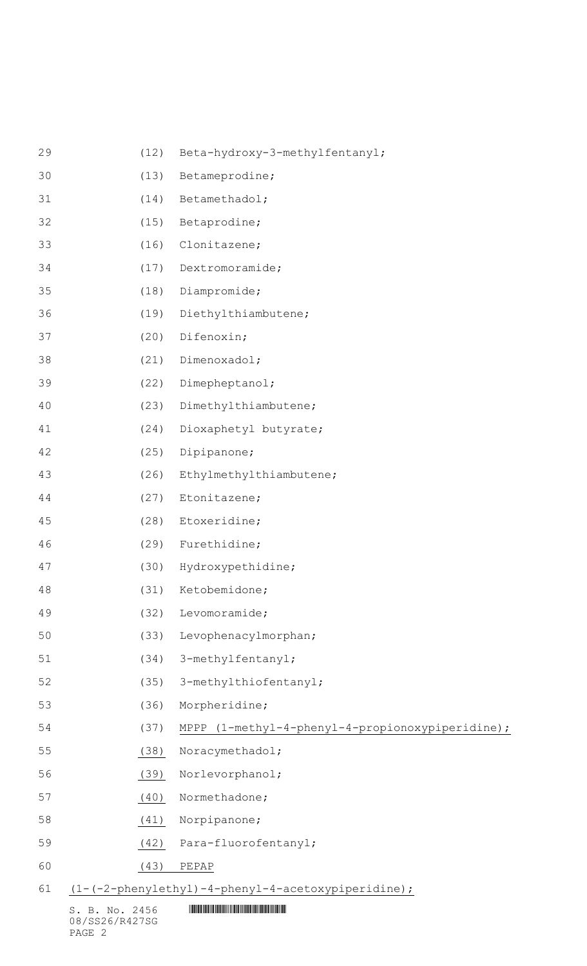| 55 | (38) | Noracymethadol;                                  |
|----|------|--------------------------------------------------|
|    |      |                                                  |
| 54 | (37) | MPPP (1-methyl-4-phenyl-4-propionoxypiperidine); |
| 53 | (36) | Morpheridine;                                    |
| 52 | (35) | 3-methylthiofentanyl;                            |
| 51 | (34) | 3-methylfentanyl;                                |
| 50 | (33) | Levophenacylmorphan;                             |
| 49 | (32) | Levomoramide;                                    |
| 48 | (31) | Ketobemidone;                                    |
| 47 | (30) | Hydroxypethidine;                                |
| 46 | (29) | Furethidine;                                     |
| 45 | (28) | Etoxeridine;                                     |
| 44 | (27) | Etonitazene;                                     |
| 43 | (26) | Ethylmethylthiambutene;                          |
| 42 | (25) | Dipipanone;                                      |
| 41 | (24) | Dioxaphetyl butyrate;                            |
| 40 | (23) | Dimethylthiambutene;                             |
| 39 | (22) | Dimepheptanol;                                   |
| 38 | (21) | Dimenoxadol;                                     |
| 37 | (20) | Difenoxin;                                       |
| 36 | (19) | Diethylthiambutene;                              |
| 35 | (18) | Diampromide;                                     |
| 34 | (17) | Dextromoramide;                                  |
| 33 | (16) | Clonitazene;                                     |
| 32 | (15) | Betaprodine;                                     |
| 31 | (14) | Betamethadol;                                    |
| 30 | (13) | Betameprodine;                                   |
| 29 | (12) | Beta-hydroxy-3-methylfentanyl;                   |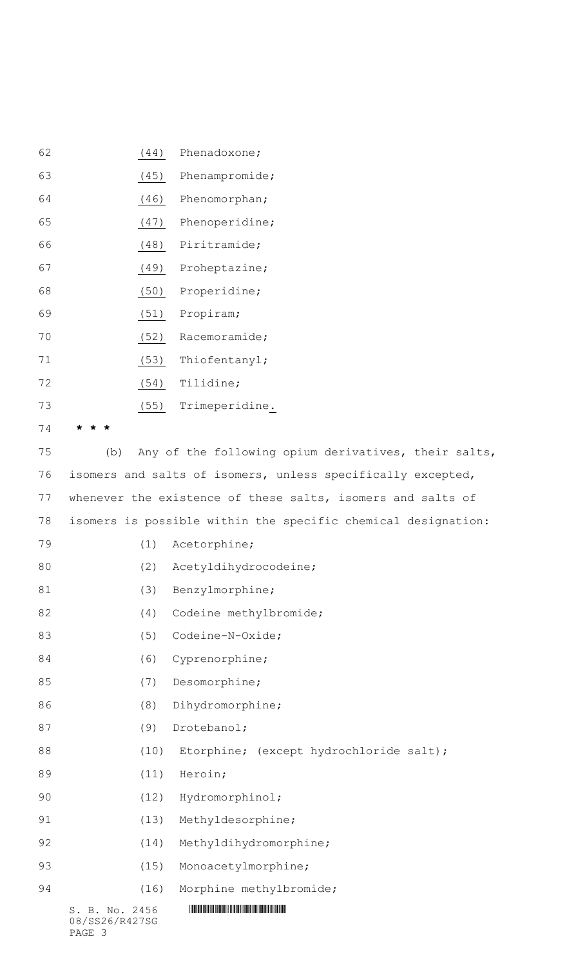| 62 |                                  | (44) | Phenadoxone;                                                  |
|----|----------------------------------|------|---------------------------------------------------------------|
| 63 |                                  | (45) | Phenampromide;                                                |
| 64 |                                  | (46) | Phenomorphan;                                                 |
| 65 |                                  | (47) | Phenoperidine;                                                |
| 66 |                                  | (48) | Piritramide;                                                  |
| 67 |                                  | (49) | Proheptazine;                                                 |
| 68 |                                  | (50) | Properidine;                                                  |
| 69 |                                  | (51) | Propiram;                                                     |
| 70 |                                  | (52) | Racemoramide;                                                 |
| 71 |                                  | (53) | Thiofentanyl;                                                 |
| 72 |                                  | (54) | Tilidine;                                                     |
| 73 |                                  | (55) | Trimeperidine.                                                |
| 74 |                                  |      |                                                               |
| 75 | (b)                              |      | Any of the following opium derivatives, their salts,          |
| 76 |                                  |      | isomers and salts of isomers, unless specifically excepted,   |
| 77 |                                  |      | whenever the existence of these salts, isomers and salts of   |
| 78 |                                  |      | isomers is possible within the specific chemical designation: |
| 79 |                                  | (1)  | Acetorphine;                                                  |
| 80 |                                  | (2)  | Acetyldihydrocodeine;                                         |
| 81 |                                  | (3)  | Benzylmorphine;                                               |
| 82 |                                  | (4)  | Codeine methylbromide;                                        |
| 83 |                                  | (5)  | Codeine-N-Oxide;                                              |
| 84 |                                  | (6)  | Cyprenorphine;                                                |
| 85 |                                  | (7)  | Desomorphine;                                                 |
| 86 |                                  | (8)  | Dihydromorphine;                                              |
| 87 |                                  | (9)  | Drotebanol;                                                   |
| 88 |                                  | (10) | Etorphine; (except hydrochloride salt);                       |
| 89 |                                  | (11) | Heroin;                                                       |
| 90 |                                  | (12) | Hydromorphinol;                                               |
| 91 |                                  | (13) | Methyldesorphine;                                             |
| 92 |                                  | (14) | Methyldihydromorphine;                                        |
| 93 |                                  | (15) | Monoacetylmorphine;                                           |
| 94 |                                  | (16) | Morphine methylbromide;                                       |
|    | S. B. No. 2456<br>08/SS26/R427SG |      |                                                               |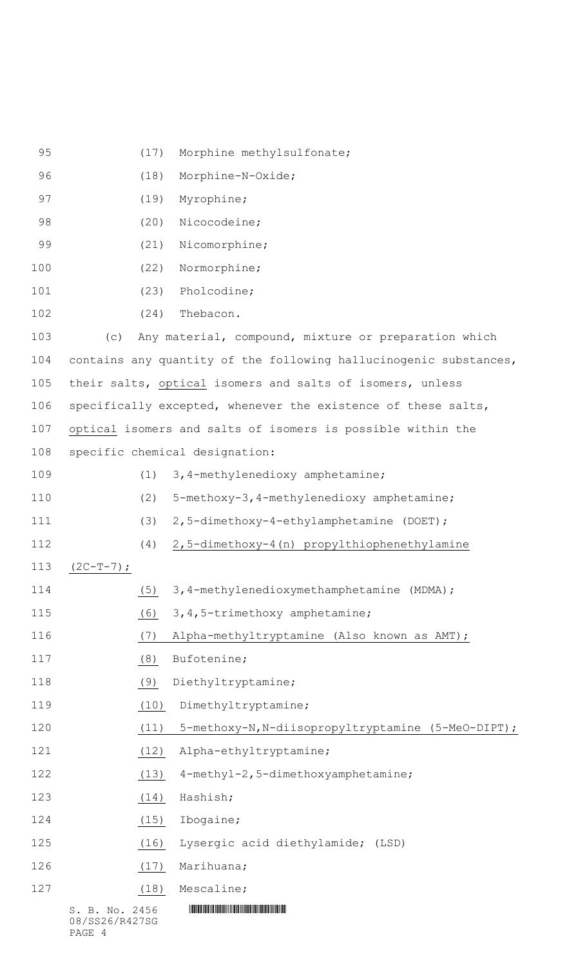| 95  |                                  | (17) | Morphine methylsulfonate;                                         |
|-----|----------------------------------|------|-------------------------------------------------------------------|
| 96  |                                  | (18) | Morphine-N-Oxide;                                                 |
| 97  |                                  | (19) | Myrophine;                                                        |
| 98  |                                  | (20) | Nicocodeine;                                                      |
| 99  |                                  | (21) | Nicomorphine;                                                     |
| 100 |                                  | (22) | Normorphine;                                                      |
| 101 |                                  | (23) | Pholcodine;                                                       |
| 102 |                                  | (24) | Thebacon.                                                         |
| 103 | (C)                              |      | Any material, compound, mixture or preparation which              |
| 104 |                                  |      | contains any quantity of the following hallucinogenic substances, |
| 105 |                                  |      | their salts, optical isomers and salts of isomers, unless         |
| 106 |                                  |      | specifically excepted, whenever the existence of these salts,     |
| 107 |                                  |      | optical isomers and salts of isomers is possible within the       |
| 108 |                                  |      | specific chemical designation:                                    |
| 109 |                                  | (1)  | 3, 4-methylenedioxy amphetamine;                                  |
| 110 |                                  | (2)  | 5-methoxy-3,4-methylenedioxy amphetamine;                         |
| 111 |                                  | (3)  | 2,5-dimethoxy-4-ethylamphetamine (DOET);                          |
| 112 |                                  | (4)  | 2,5-dimethoxy-4(n) propylthiophenethylamine                       |
| 113 | $(2C-T-7)$ ;                     |      |                                                                   |
| 114 |                                  | (5)  | 3,4-methylenedioxymethamphetamine (MDMA);                         |
| 115 |                                  | (6)  | 3, 4, 5-trimethoxy amphetamine;                                   |
| 116 |                                  | (7)  | Alpha-methyltryptamine (Also known as AMT);                       |
| 117 |                                  | (8)  | Bufotenine;                                                       |
| 118 |                                  | (9)  | Diethyltryptamine;                                                |
| 119 |                                  | (10) | Dimethyltryptamine;                                               |
| 120 |                                  | (11) | 5-methoxy-N, N-diisopropyltryptamine (5-MeO-DIPT);                |
| 121 |                                  | (12) | Alpha-ethyltryptamine;                                            |
| 122 |                                  | (13) | 4-methyl-2,5-dimethoxyamphetamine;                                |
| 123 |                                  | (14) | Hashish;                                                          |
| 124 |                                  | (15) | Ibogaine;                                                         |
| 125 |                                  | (16) | Lysergic acid diethylamide; (LSD)                                 |
| 126 |                                  | (17) | Marihuana;                                                        |
| 127 |                                  | (18) | Mescaline;                                                        |
|     | S. B. No. 2456<br>08/SS26/R427SG |      |                                                                   |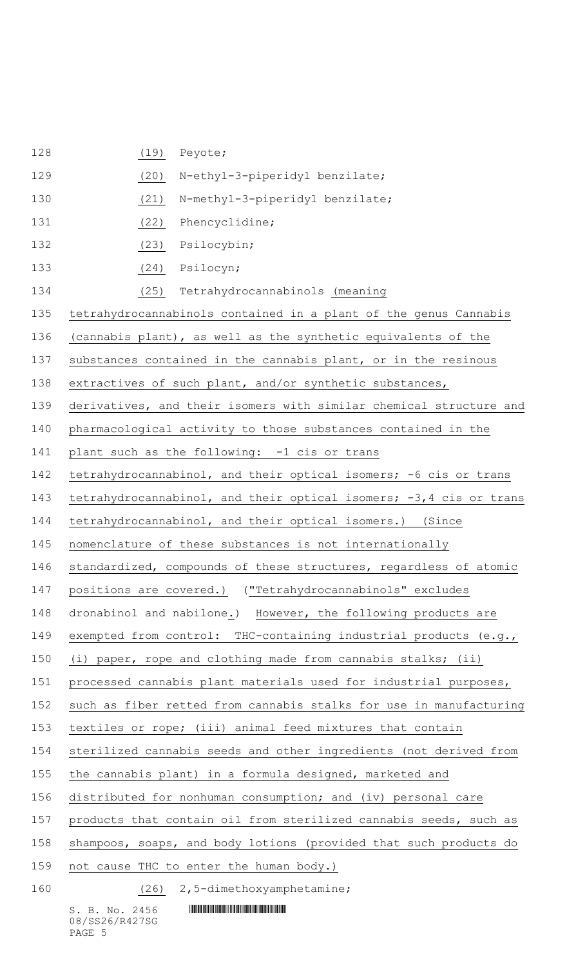| 128 | (19)<br>Peyote;                                                    |
|-----|--------------------------------------------------------------------|
| 129 | N-ethyl-3-piperidyl benzilate;<br>(20)                             |
| 130 | N-methyl-3-piperidyl benzilate;<br>(21)                            |
| 131 | (22)<br>Phencyclidine;                                             |
| 132 | Psilocybin;<br>(23)                                                |
| 133 | (24)<br>Psilocyn;                                                  |
| 134 | Tetrahydrocannabinols (meaning<br>(25)                             |
| 135 | tetrahydrocannabinols contained in a plant of the genus Cannabis   |
| 136 | (cannabis plant), as well as the synthetic equivalents of the      |
| 137 | substances contained in the cannabis plant, or in the resinous     |
| 138 | extractives of such plant, and/or synthetic substances,            |
| 139 | derivatives, and their isomers with similar chemical structure and |
| 140 | pharmacological activity to those substances contained in the      |
| 141 | plant such as the following: -1 cis or trans                       |
| 142 | tetrahydrocannabinol, and their optical isomers; -6 cis or trans   |
| 143 | tetrahydrocannabinol, and their optical isomers; -3,4 cis or trans |
| 144 | tetrahydrocannabinol, and their optical isomers.) (Since           |
| 145 | nomenclature of these substances is not internationally            |
| 146 | standardized, compounds of these structures, regardless of atomic  |
| 147 | positions are covered.) ("Tetrahydrocannabinols" excludes          |
| 148 | dronabinol and nabilone.) However, the following products are      |
| 149 | exempted from control: THC-containing industrial products (e.g.,   |
| 150 | (i) paper, rope and clothing made from cannabis stalks; (ii)       |
| 151 | processed cannabis plant materials used for industrial purposes,   |
| 152 | such as fiber retted from cannabis stalks for use in manufacturing |
| 153 | textiles or rope; (iii) animal feed mixtures that contain          |
| 154 | sterilized cannabis seeds and other ingredients (not derived from  |
| 155 | the cannabis plant) in a formula designed, marketed and            |
| 156 | distributed for nonhuman consumption; and (iv) personal care       |
| 157 | products that contain oil from sterilized cannabis seeds, such as  |
| 158 | shampoos, soaps, and body lotions (provided that such products do  |
| 159 | not cause THC to enter the human body.)                            |
| 160 | (26) 2,5-dimethoxyamphetamine;                                     |
|     | S. B. No. 2456                                                     |

08/SS26/R427SG PAGE 5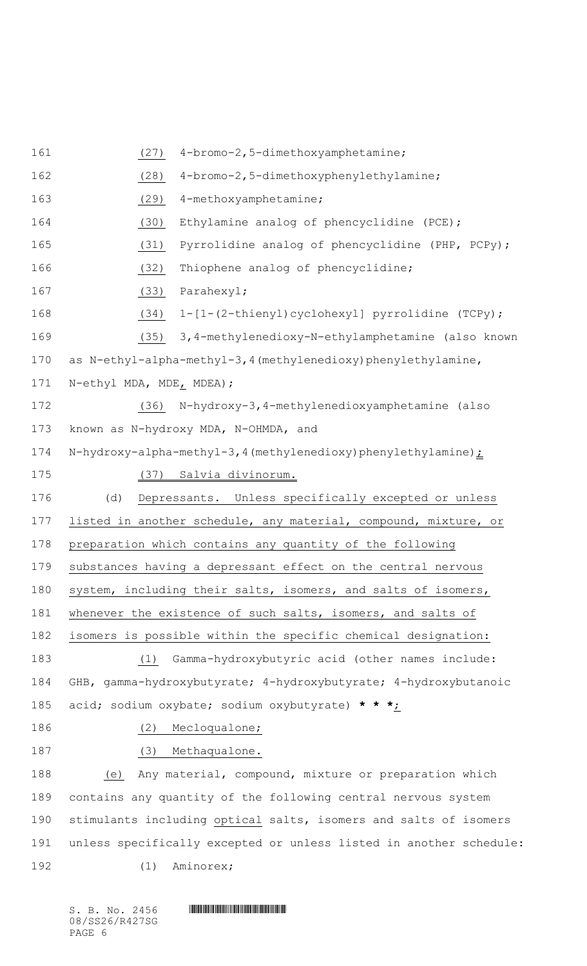(27) 4-bromo-2,5-dimethoxyamphetamine; (28) 4-bromo-2,5-dimethoxyphenylethylamine; (29) 4-methoxyamphetamine; (30) Ethylamine analog of phencyclidine (PCE); (31) Pyrrolidine analog of phencyclidine (PHP, PCPy); (32) Thiophene analog of phencyclidine; (33) Parahexyl; 168 (34) 1-[1-(2-thienyl)cyclohexyl] pyrrolidine (TCPy); (35) 3,4-methylenedioxy-N-ethylamphetamine (also known as N-ethyl-alpha-methyl-3,4(methylenedioxy)phenylethylamine, N-ethyl MDA, MDE, MDEA); (36) N-hydroxy-3,4-methylenedioxyamphetamine (also known as N-hydroxy MDA, N-OHMDA, and 174 N-hydroxy-alpha-methyl-3,4(methylenedioxy)phenylethylamine) : (37) Salvia divinorum. (d) Depressants. Unless specifically excepted or unless listed in another schedule, any material, compound, mixture, or preparation which contains any quantity of the following substances having a depressant effect on the central nervous system, including their salts, isomers, and salts of isomers, whenever the existence of such salts, isomers, and salts of isomers is possible within the specific chemical designation: (1) Gamma-hydroxybutyric acid (other names include: GHB, gamma-hydroxybutyrate; 4-hydroxybutyrate; 4-hydroxybutanoic acid; sodium oxybate; sodium oxybutyrate) **\* \* \***; 186 (2) Mecloqualone; 187 (3) Methaqualone. (e) Any material, compound, mixture or preparation which contains any quantity of the following central nervous system stimulants including optical salts, isomers and salts of isomers unless specifically excepted or unless listed in another schedule: 192 (1) Aminorex;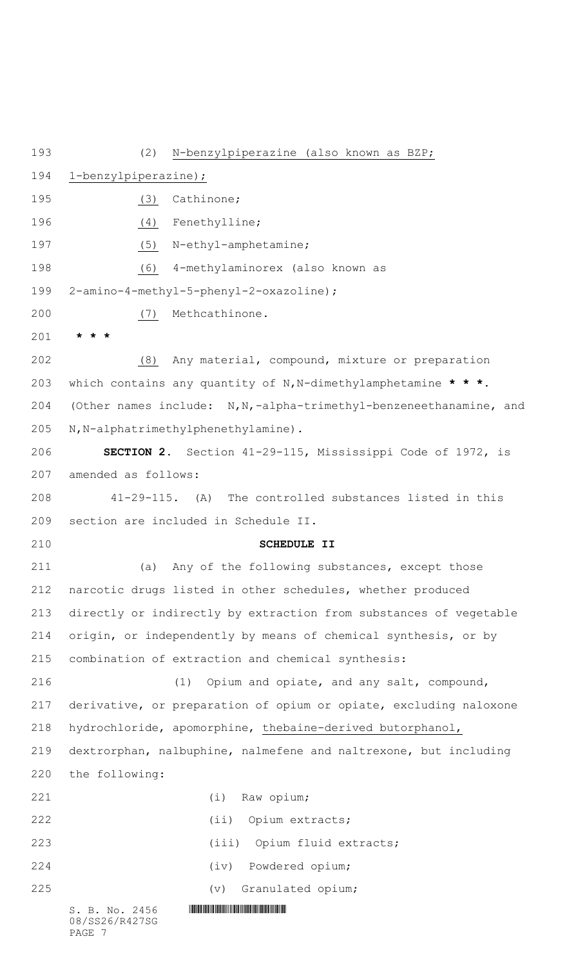$S. B. No. 2456$  .  $M$ 08/SS26/R427SG PAGE 7 (2) N-benzylpiperazine (also known as BZP; 1-benzylpiperazine); 195 (3) Cathinone; 196 (4) Fenethylline; 197 (5) N-ethyl-amphetamine; (6) 4-methylaminorex (also known as 2-amino-4-methyl-5-phenyl-2-oxazoline); (7) Methcathinone. **\* \* \*** (8) Any material, compound, mixture or preparation which contains any quantity of N,N-dimethylamphetamine **\* \* \***. (Other names include: N,N,-alpha-trimethyl-benzeneethanamine, and N,N-alphatrimethylphenethylamine). **SECTION 2.** Section 41-29-115, Mississippi Code of 1972, is amended as follows: 41-29-115. (A) The controlled substances listed in this section are included in Schedule II. **SCHEDULE II** (a) Any of the following substances, except those narcotic drugs listed in other schedules, whether produced directly or indirectly by extraction from substances of vegetable origin, or independently by means of chemical synthesis, or by combination of extraction and chemical synthesis: (1) Opium and opiate, and any salt, compound, derivative, or preparation of opium or opiate, excluding naloxone hydrochloride, apomorphine, thebaine-derived butorphanol, dextrorphan, nalbuphine, nalmefene and naltrexone, but including the following: (i) Raw opium; (ii) Opium extracts; (iii) Opium fluid extracts; (iv) Powdered opium; (v) Granulated opium;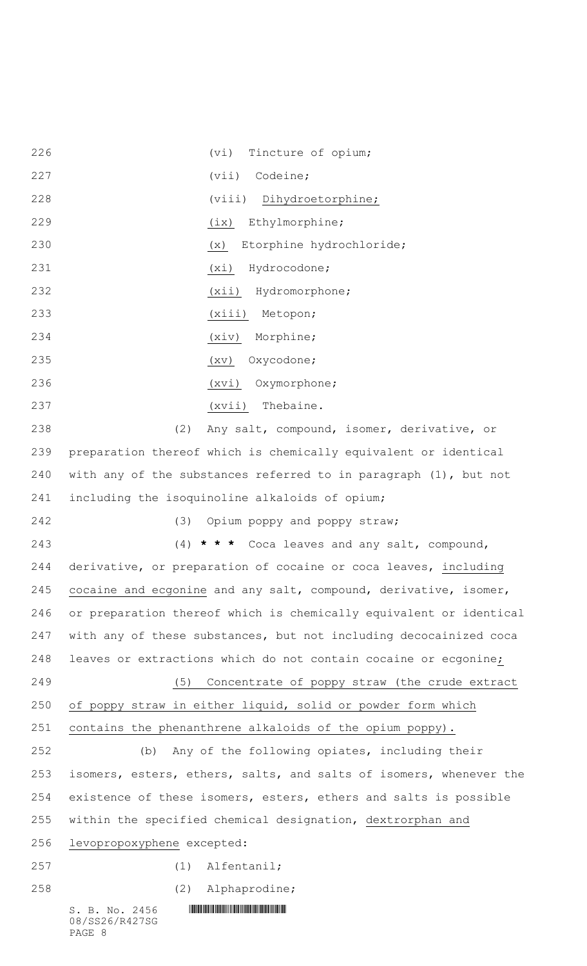$S. B. No. 2456$  .  $M$ 08/SS26/R427SG PAGE 8 (vi) Tincture of opium; 227 (vii) Codeine; (viii) Dihydroetorphine; (ix) Ethylmorphine; (x) Etorphine hydrochloride; (xi) Hydrocodone; (xii) Hydromorphone; (xiii) Metopon; (xiv) Morphine; 235 (xv) Oxycodone; (xvi) Oxymorphone; (xvii) Thebaine. (2) Any salt, compound, isomer, derivative, or preparation thereof which is chemically equivalent or identical with any of the substances referred to in paragraph (1), but not including the isoquinoline alkaloids of opium; (3) Opium poppy and poppy straw; (4) **\* \* \*** Coca leaves and any salt, compound, derivative, or preparation of cocaine or coca leaves, including 245 cocaine and ecgonine and any salt, compound, derivative, isomer, or preparation thereof which is chemically equivalent or identical with any of these substances, but not including decocainized coca leaves or extractions which do not contain cocaine or ecgonine; (5) Concentrate of poppy straw (the crude extract of poppy straw in either liquid, solid or powder form which contains the phenanthrene alkaloids of the opium poppy). (b) Any of the following opiates, including their isomers, esters, ethers, salts, and salts of isomers, whenever the existence of these isomers, esters, ethers and salts is possible within the specified chemical designation, dextrorphan and levopropoxyphene excepted: (1) Alfentanil; (2) Alphaprodine;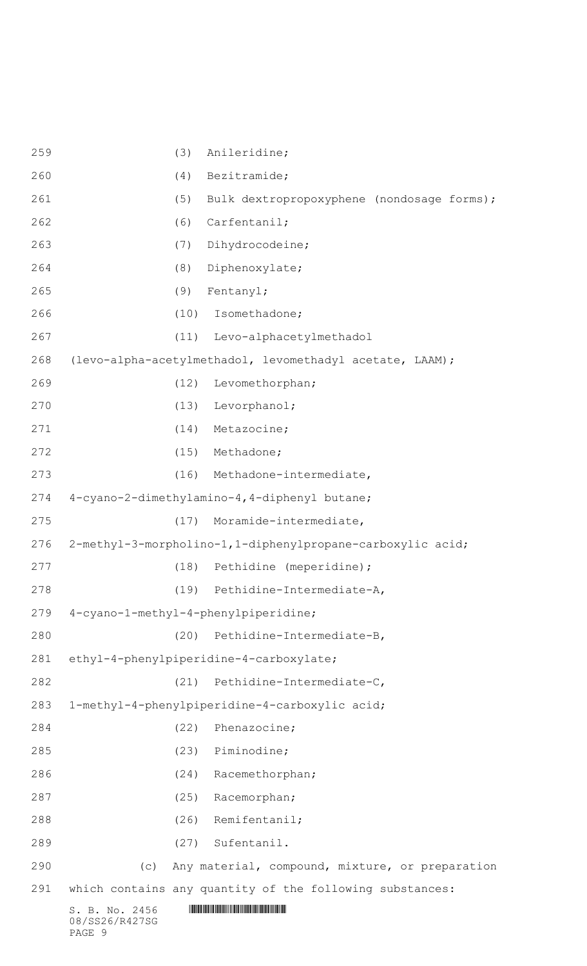| 259 | (3)                                                        | Anileridine;                                             |  |
|-----|------------------------------------------------------------|----------------------------------------------------------|--|
| 260 | (4)                                                        | Bezitramide;                                             |  |
| 261 | (5)                                                        | Bulk dextropropoxyphene (nondosage forms);               |  |
| 262 | (6)                                                        | Carfentanil;                                             |  |
| 263 | (7)                                                        | Dihydrocodeine;                                          |  |
| 264 | (8)                                                        | Diphenoxylate;                                           |  |
| 265 | (9)                                                        | Fentanyl;                                                |  |
| 266 | (10)                                                       | Isomethadone;                                            |  |
| 267 |                                                            | (11) Levo-alphacetylmethadol                             |  |
| 268 |                                                            | (levo-alpha-acetylmethadol, levomethadyl acetate, LAAM); |  |
| 269 | (12)                                                       | Levomethorphan;                                          |  |
| 270 | (13)                                                       | Levorphanol;                                             |  |
| 271 | (14)                                                       | Metazocine;                                              |  |
| 272 | (15)                                                       | Methadone;                                               |  |
| 273 | (16)                                                       | Methadone-intermediate,                                  |  |
| 274 | 4-cyano-2-dimethylamino-4, 4-diphenyl butane;              |                                                          |  |
| 275 | (17)                                                       | Moramide-intermediate,                                   |  |
| 276 | 2-methyl-3-morpholino-1,1-diphenylpropane-carboxylic acid; |                                                          |  |
| 277 | (18)                                                       | Pethidine (meperidine);                                  |  |
| 278 |                                                            | (19) Pethidine-Intermediate-A,                           |  |
| 279 | 4-cyano-1-methyl-4-phenylpiperidine;                       |                                                          |  |
| 280 | (20)                                                       | Pethidine-Intermediate-B,                                |  |
| 281 | ethyl-4-phenylpiperidine-4-carboxylate;                    |                                                          |  |
| 282 | (21)                                                       | Pethidine-Intermediate-C,                                |  |
| 283 | 1-methyl-4-phenylpiperidine-4-carboxylic acid;             |                                                          |  |
| 284 | (22)                                                       | Phenazocine;                                             |  |
| 285 | (23)                                                       | Piminodine;                                              |  |
| 286 | (24)                                                       | Racemethorphan;                                          |  |
| 287 | (25)                                                       | Racemorphan;                                             |  |
| 288 | (26)                                                       | Remifentanil;                                            |  |
| 289 | (27)                                                       | Sufentanil.                                              |  |
| 290 | (C)                                                        | Any material, compound, mixture, or preparation          |  |
| 291 |                                                            | which contains any quantity of the following substances: |  |
|     | S. B. No. 2456<br>08/SS26/R427SG                           |                                                          |  |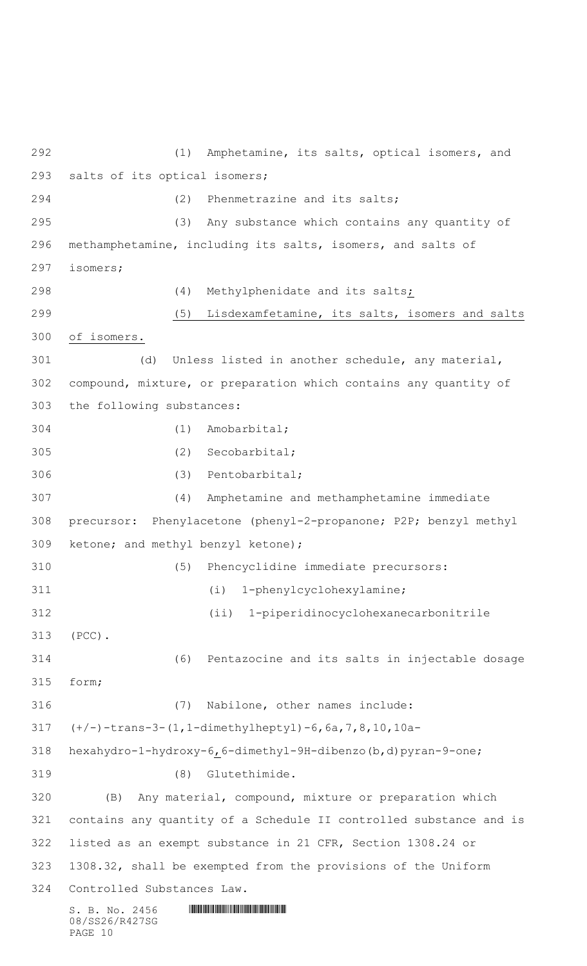$S. B. No. 2456$  .  $M$ 08/SS26/R427SG PAGE 10 (1) Amphetamine, its salts, optical isomers, and salts of its optical isomers; (2) Phenmetrazine and its salts; (3) Any substance which contains any quantity of methamphetamine, including its salts, isomers, and salts of isomers; (4) Methylphenidate and its salts; (5) Lisdexamfetamine, its salts, isomers and salts of isomers. (d) Unless listed in another schedule, any material, compound, mixture, or preparation which contains any quantity of the following substances: (1) Amobarbital; (2) Secobarbital; (3) Pentobarbital; (4) Amphetamine and methamphetamine immediate precursor: Phenylacetone (phenyl-2-propanone; P2P; benzyl methyl ketone; and methyl benzyl ketone); (5) Phencyclidine immediate precursors: (i) 1-phenylcyclohexylamine; (ii) 1-piperidinocyclohexanecarbonitrile (PCC). (6) Pentazocine and its salts in injectable dosage form; (7) Nabilone, other names include: (+/-)-trans-3-(1,1-dimethylheptyl)-6,6a,7,8,10,10a- hexahydro-1-hydroxy-6,6-dimethyl-9H-dibenzo(b,d)pyran-9-one; (8) Glutethimide. (B) Any material, compound, mixture or preparation which contains any quantity of a Schedule II controlled substance and is listed as an exempt substance in 21 CFR, Section 1308.24 or 1308.32, shall be exempted from the provisions of the Uniform Controlled Substances Law.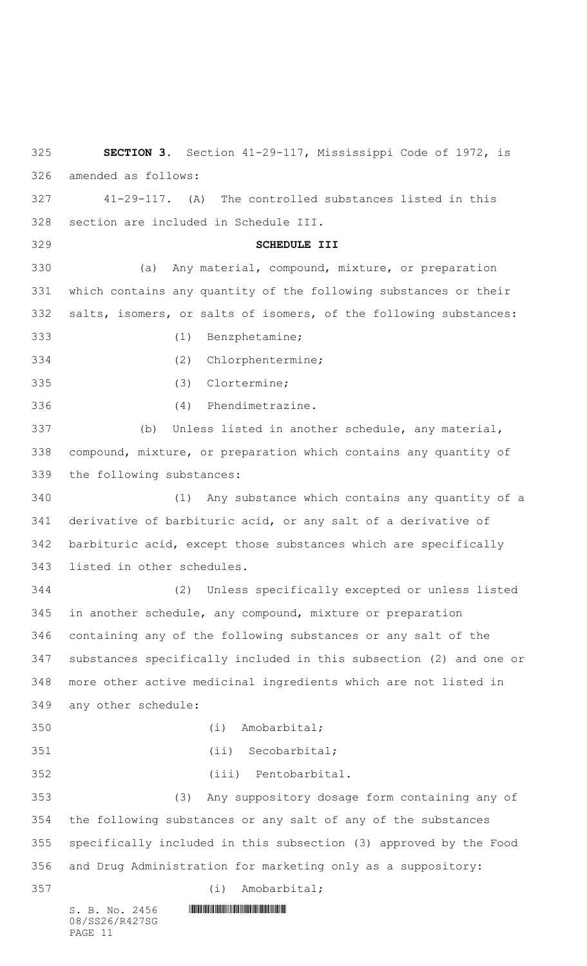$S. B. No. 2456$  .  $M$  . The set of  $S. B. N$ 08/SS26/R427SG **SECTION 3.** Section 41-29-117, Mississippi Code of 1972, is amended as follows: 41-29-117. (A) The controlled substances listed in this section are included in Schedule III. **SCHEDULE III** (a) Any material, compound, mixture, or preparation which contains any quantity of the following substances or their salts, isomers, or salts of isomers, of the following substances: (1) Benzphetamine; (2) Chlorphentermine; (3) Clortermine; (4) Phendimetrazine. (b) Unless listed in another schedule, any material, compound, mixture, or preparation which contains any quantity of the following substances: (1) Any substance which contains any quantity of a derivative of barbituric acid, or any salt of a derivative of barbituric acid, except those substances which are specifically listed in other schedules. (2) Unless specifically excepted or unless listed in another schedule, any compound, mixture or preparation containing any of the following substances or any salt of the substances specifically included in this subsection (2) and one or more other active medicinal ingredients which are not listed in any other schedule: (i) Amobarbital; (ii) Secobarbital; (iii) Pentobarbital. (3) Any suppository dosage form containing any of the following substances or any salt of any of the substances specifically included in this subsection (3) approved by the Food and Drug Administration for marketing only as a suppository: (i) Amobarbital;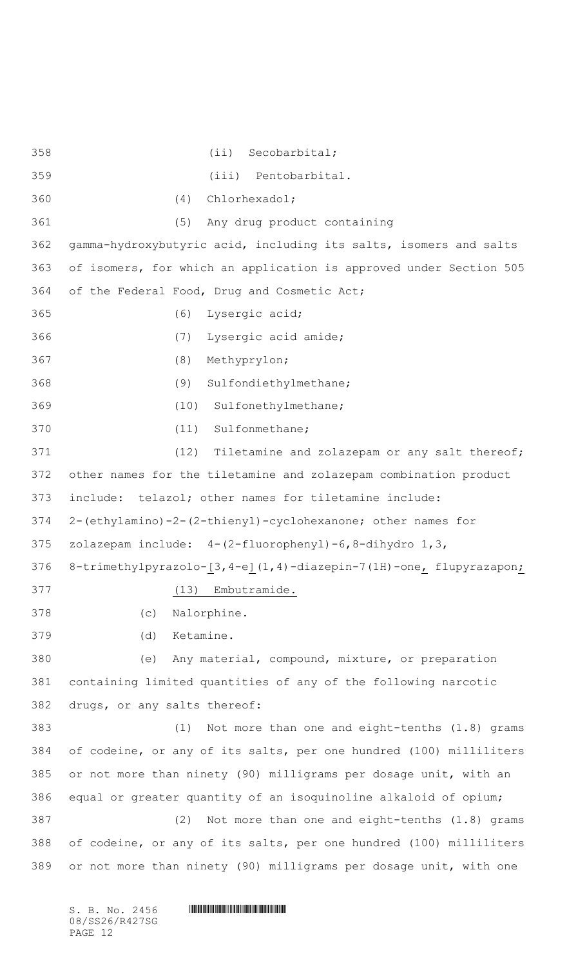(ii) Secobarbital; (iii) Pentobarbital. (4) Chlorhexadol; (5) Any drug product containing gamma-hydroxybutyric acid, including its salts, isomers and salts of isomers, for which an application is approved under Section 505 of the Federal Food, Drug and Cosmetic Act; (6) Lysergic acid; (7) Lysergic acid amide; (8) Methyprylon; (9) Sulfondiethylmethane; (10) Sulfonethylmethane; (11) Sulfonmethane; (12) Tiletamine and zolazepam or any salt thereof; other names for the tiletamine and zolazepam combination product include: telazol; other names for tiletamine include: 2-(ethylamino)-2-(2-thienyl)-cyclohexanone; other names for zolazepam include: 4-(2-fluorophenyl)-6,8-dihydro 1,3, 376 8-trimethylpyrazolo-[3,4-e](1,4)-diazepin-7(1H)-one<sub>l</sub> flupyrazapon<sub>j</sub> (13) Embutramide. (c) Nalorphine. (d) Ketamine. (e) Any material, compound, mixture, or preparation containing limited quantities of any of the following narcotic drugs, or any salts thereof: (1) Not more than one and eight-tenths (1.8) grams of codeine, or any of its salts, per one hundred (100) milliliters or not more than ninety (90) milligrams per dosage unit, with an equal or greater quantity of an isoquinoline alkaloid of opium; (2) Not more than one and eight-tenths (1.8) grams of codeine, or any of its salts, per one hundred (100) milliliters or not more than ninety (90) milligrams per dosage unit, with one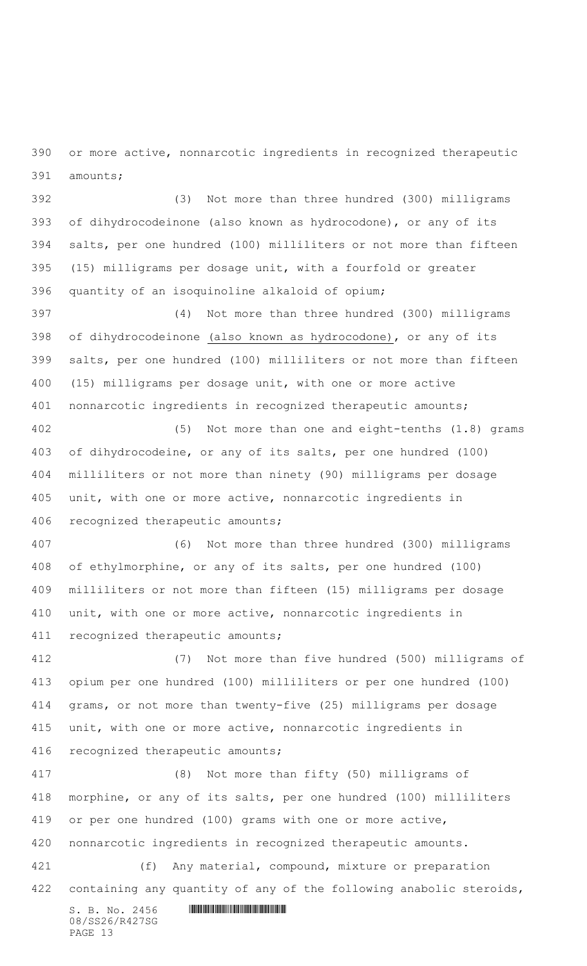or more active, nonnarcotic ingredients in recognized therapeutic amounts;

 (3) Not more than three hundred (300) milligrams of dihydrocodeinone (also known as hydrocodone), or any of its salts, per one hundred (100) milliliters or not more than fifteen (15) milligrams per dosage unit, with a fourfold or greater quantity of an isoquinoline alkaloid of opium;

 (4) Not more than three hundred (300) milligrams of dihydrocodeinone (also known as hydrocodone), or any of its salts, per one hundred (100) milliliters or not more than fifteen (15) milligrams per dosage unit, with one or more active nonnarcotic ingredients in recognized therapeutic amounts;

 (5) Not more than one and eight-tenths (1.8) grams of dihydrocodeine, or any of its salts, per one hundred (100) milliliters or not more than ninety (90) milligrams per dosage unit, with one or more active, nonnarcotic ingredients in recognized therapeutic amounts;

 (6) Not more than three hundred (300) milligrams of ethylmorphine, or any of its salts, per one hundred (100) milliliters or not more than fifteen (15) milligrams per dosage unit, with one or more active, nonnarcotic ingredients in recognized therapeutic amounts;

 (7) Not more than five hundred (500) milligrams of opium per one hundred (100) milliliters or per one hundred (100) grams, or not more than twenty-five (25) milligrams per dosage unit, with one or more active, nonnarcotic ingredients in recognized therapeutic amounts;

 (8) Not more than fifty (50) milligrams of morphine, or any of its salts, per one hundred (100) milliliters or per one hundred (100) grams with one or more active, nonnarcotic ingredients in recognized therapeutic amounts. (f) Any material, compound, mixture or preparation

containing any quantity of any of the following anabolic steroids,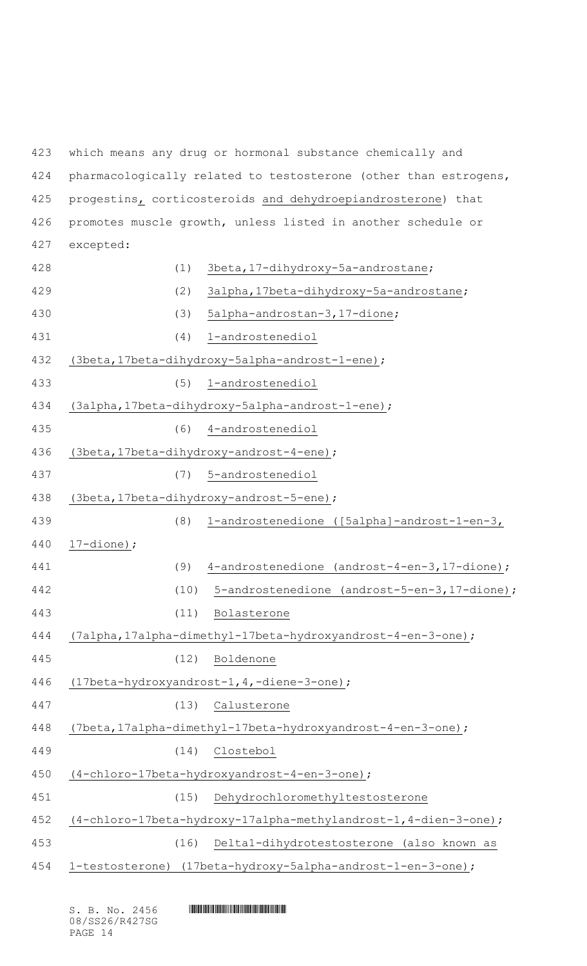which means any drug or hormonal substance chemically and pharmacologically related to testosterone (other than estrogens, progestins, corticosteroids and dehydroepiandrosterone) that promotes muscle growth, unless listed in another schedule or excepted: (1) 3beta,17-dihydroxy-5a-androstane; (2) 3alpha,17beta-dihydroxy-5a-androstane; (3) 5alpha-androstan-3,17-dione; (4) 1-androstenediol (3beta,17beta-dihydroxy-5alpha-androst-1-ene); (5) 1-androstenediol (3alpha,17beta-dihydroxy-5alpha-androst-1-ene); (6) 4-androstenediol (3beta,17beta-dihydroxy-androst-4-ene); (7) 5-androstenediol (3beta,17beta-dihydroxy-androst-5-ene); (8) 1-androstenedione ([5alpha]-androst-1-en-3, 17-dione); (9) 4-androstenedione (androst-4-en-3,17-dione); (10) 5-androstenedione (androst-5-en-3,17-dione); (11) Bolasterone (7alpha,17alpha-dimethyl-17beta-hydroxyandrost-4-en-3-one); (12) Boldenone (17beta-hydroxyandrost-1,4,-diene-3-one); (13) Calusterone (7beta,17alpha-dimethyl-17beta-hydroxyandrost-4-en-3-one); (14) Clostebol (4-chloro-17beta-hydroxyandrost-4-en-3-one); (15) Dehydrochloromethyltestosterone (4-chloro-17beta-hydroxy-17alpha-methylandrost-1,4-dien-3-one); (16) Delta1-dihydrotestosterone (also known as 1-testosterone) (17beta-hydroxy-5alpha-androst-1-en-3-one);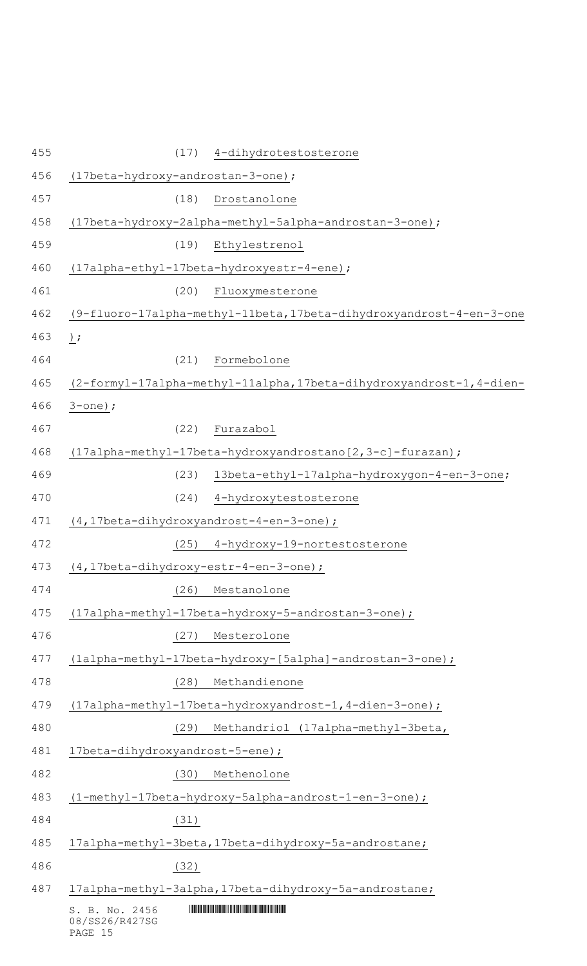| 455 | 4-dihydrotestosterone<br>(17)                                        |
|-----|----------------------------------------------------------------------|
| 456 | (17beta-hydroxy-androstan-3-one);                                    |
| 457 | (18)<br>Drostanolone                                                 |
| 458 | (17beta-hydroxy-2alpha-methyl-5alpha-androstan-3-one);               |
| 459 | (19)<br>Ethylestrenol                                                |
| 460 | (17alpha-ethyl-17beta-hydroxyestr-4-ene);                            |
| 461 | (20)<br>Fluoxymesterone                                              |
| 462 | (9-fluoro-17alpha-methyl-11beta, 17beta-dihydroxyandrost-4-en-3-one  |
| 463 | ) ;                                                                  |
| 464 | Formebolone<br>(21)                                                  |
| 465 | (2-formyl-17alpha-methyl-11alpha, 17beta-dihydroxyandrost-1, 4-dien- |
| 466 | $3$ -one);                                                           |
| 467 | Furazabol<br>(22)                                                    |
| 468 | (17alpha-methyl-17beta-hydroxyandrostano[2,3-c]-furazan);            |
| 469 | 13beta-ethyl-17alpha-hydroxygon-4-en-3-one;<br>(23)                  |
| 470 | (24)<br>4-hydroxytestosterone                                        |
| 471 | (4,17beta-dihydroxyandrost-4-en-3-one);                              |
| 472 | (25) 4-hydroxy-19-nortestosterone                                    |
| 473 | (4,17beta-dihydroxy-estr-4-en-3-one);                                |
| 474 | (26)<br>Mestanolone                                                  |
| 475 | (17alpha-methyl-17beta-hydroxy-5-androstan-3-one);                   |
| 476 | Mesterolone<br>(27)                                                  |
| 477 | (1alpha-methyl-17beta-hydroxy-[5alpha]-androstan-3-one);             |
| 478 | Methandienone<br>(28)                                                |
| 479 | (17alpha-methyl-17beta-hydroxyandrost-1, 4-dien-3-one);              |
| 480 | Methandriol (17alpha-methyl-3beta,<br>(29)                           |
| 481 | 17beta-dihydroxyandrost-5-ene);                                      |
| 482 | Methenolone<br>(30)                                                  |
| 483 | (1-methyl-17beta-hydroxy-5alpha-androst-1-en-3-one);                 |
| 484 | (31)                                                                 |
| 485 | 17alpha-methyl-3beta, 17beta-dihydroxy-5a-androstane;                |
| 486 | (32)                                                                 |
| 487 | 17alpha-methyl-3alpha, 17beta-dihydroxy-5a-androstane;               |
|     | S. B. No. 2456<br>08/SS26/R427SG<br>PAGE 15                          |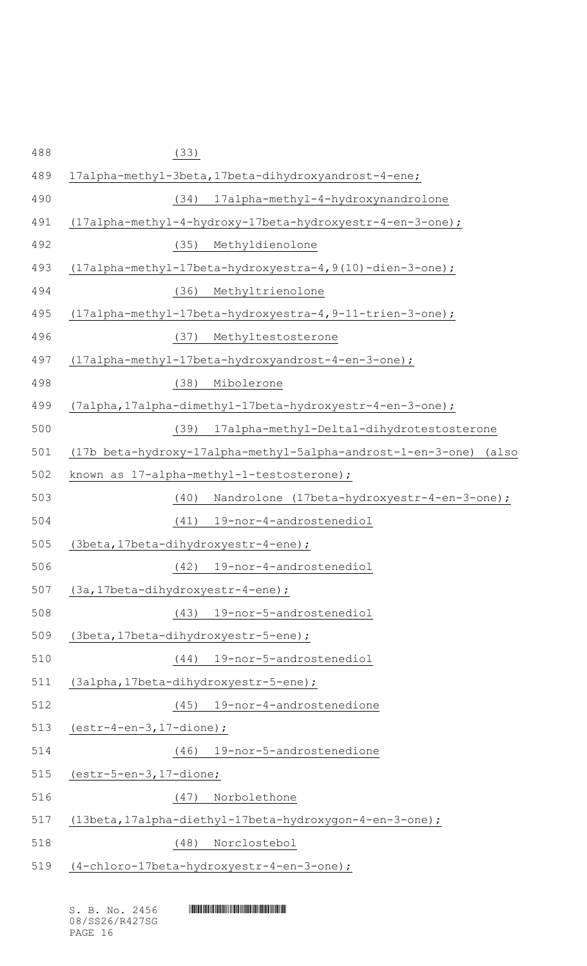| (33)                                                                 |
|----------------------------------------------------------------------|
| 17alpha-methyl-3beta, 17beta-dihydroxyandrost-4-ene;                 |
| 17alpha-methyl-4-hydroxynandrolone<br>(34)                           |
| $(17a1pha-methyl-4-hydroxy-17beta-hydroxyestr-4-en-3-one)$ ;         |
| Methyldienolone<br>(35)                                              |
| (17alpha-methyl-17beta-hydroxyestra-4, 9(10)-dien-3-one);            |
| Methyltrienolone<br>(36)                                             |
| (17alpha-methyl-17beta-hydroxyestra-4, 9-11-trien-3-one);            |
| Methyltestosterone<br>(37)                                           |
| (17alpha-methyl-17beta-hydroxyandrost-4-en-3-one);                   |
| (38)<br>Mibolerone                                                   |
| (7alpha, 17alpha-dimethyl-17beta-hydroxyestr-4-en-3-one);            |
| (39)<br>17alpha-methyl-Delta1-dihydrotestosterone                    |
| (17b beta-hydroxy-17alpha-methyl-5alpha-androst-1-en-3-one)<br>(also |
| known as 17-alpha-methyl-1-testosterone);                            |
| Nandrolone (17beta-hydroxyestr-4-en-3-one);<br>(40)                  |
| 19-nor-4-androstenediol<br>(41)                                      |
| (3beta, 17beta-dihydroxyestr-4-ene);                                 |
| 19-nor-4-androstenediol<br>(42)                                      |
| (3a, 17beta-dihydroxyestr-4-ene);                                    |
| 19-nor-5-androstenediol<br>(43)                                      |
| (3beta, 17beta-dihydroxyestr-5-ene);                                 |
| 19-nor-5-androstenediol<br>(44)                                      |
| (3alpha, 17beta-dihydroxyestr-5-ene);                                |
| 19-nor-4-androstenedione<br>(45)                                     |
| $(estr-4-en-3, 17-dione);$                                           |
| 19-nor-5-androstenedione<br>(46)                                     |
| $(estr-5-en-3, 17-dione;$                                            |
| Norbolethone<br>(47)                                                 |
| (13beta, 17alpha-diethyl-17beta-hydroxygon-4-en-3-one);              |
|                                                                      |
| Norclostebol<br>(48)                                                 |

 $S. B. No. 2456$  .  $M$  .  $M$  .  $M$  . The set of  $S$  . The set of  $S$  is  $S$  . The set of  $S$  is  $S$  . In the set of  $S$  . In the set of  $S$  . In the set of  $S$  . In the set of  $S$  . In the set of  $S$  . In the set of  $S$  . In 08/SS26/R427SG PAGE 16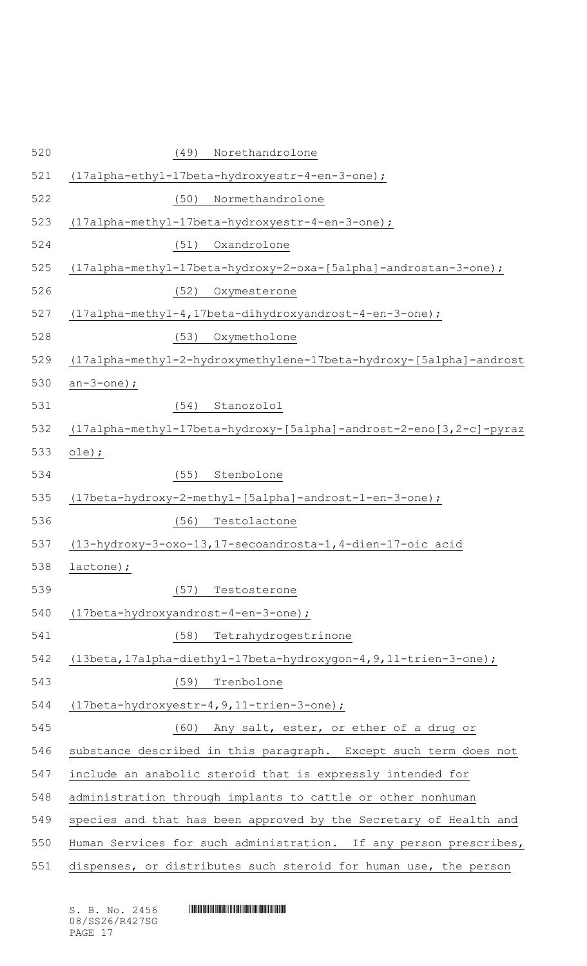| 520 | Norethandrolone<br>(49)                                              |
|-----|----------------------------------------------------------------------|
| 521 | (17alpha-ethyl-17beta-hydroxyestr-4-en-3-one);                       |
| 522 | Normethandrolone<br>(50)                                             |
| 523 | (17alpha-methyl-17beta-hydroxyestr-4-en-3-one);                      |
| 524 | Oxandrolone<br>(51)                                                  |
| 525 | $(17a1pha-methyl-17beta-hydroxy-2-oxa-[5a1pha]-androstan-3-one)$ ;   |
| 526 | (52)<br>Oxymesterone                                                 |
| 527 | (17alpha-methyl-4,17beta-dihydroxyandrost-4-en-3-one);               |
| 528 | Oxymetholone<br>(53)                                                 |
| 529 | (17alpha-methyl-2-hydroxymethylene-17beta-hydroxy-[5alpha]-androst   |
| 530 | $an-3$ -one);                                                        |
| 531 | (54)<br>Stanozolol                                                   |
| 532 | $(17a1pha-methyl-17beta-hydroxy-[5a1pha]-androst-2-eno[3,2-c]-pyraz$ |
| 533 | $ole)$ ;                                                             |
| 534 | (55)<br>Stenbolone                                                   |
| 535 | $(17beta-hydroxy-2-methyl-[5alpha]-androst-1-en-3-one)$ ;            |
| 536 | Testolactone<br>(56)                                                 |
| 537 | (13-hydroxy-3-oxo-13, 17-secoandrosta-1, 4-dien-17-oic acid          |
| 538 | lactone);                                                            |
| 539 | (57)<br>Testosterone                                                 |
| 540 | (17beta-hydroxyandrost-4-en-3-one);                                  |
| 541 | (58)<br>Tetrahydrogestrinone                                         |
| 542 | (13beta, 17alpha-diethyl-17beta-hydroxygon-4, 9, 11-trien-3-one) ;   |
| 543 | (59)<br>Trenbolone                                                   |
| 544 | $(17beta-hydroxyestr-4, 9, 11-trien-3-one)$ ;                        |
| 545 | (60)<br>Any salt, ester, or ether of a drug or                       |
| 546 | substance described in this paragraph. Except such term does not     |
| 547 | include an anabolic steroid that is expressly intended for           |
| 548 | administration through implants to cattle or other nonhuman          |
| 549 | species and that has been approved by the Secretary of Health and    |
| 550 | Human Services for such administration. If any person prescribes,    |
| 551 | dispenses, or distributes such steroid for human use, the person     |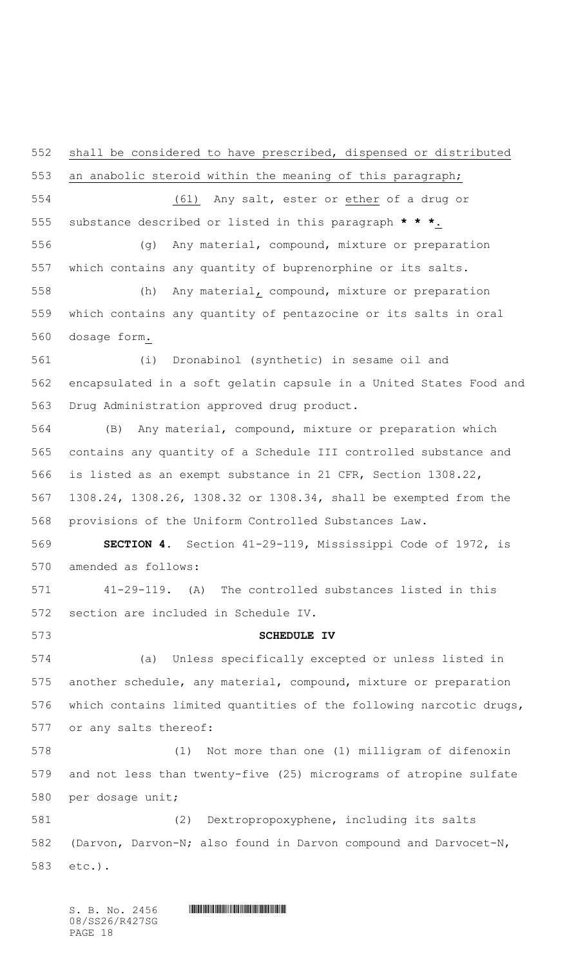shall be considered to have prescribed, dispensed or distributed

 an anabolic steroid within the meaning of this paragraph; (61) Any salt, ester or ether of a drug or substance described or listed in this paragraph **\* \* \***. (g) Any material, compound, mixture or preparation which contains any quantity of buprenorphine or its salts. (h) Any material, compound, mixture or preparation which contains any quantity of pentazocine or its salts in oral dosage form. (i) Dronabinol (synthetic) in sesame oil and encapsulated in a soft gelatin capsule in a United States Food and Drug Administration approved drug product. (B) Any material, compound, mixture or preparation which contains any quantity of a Schedule III controlled substance and is listed as an exempt substance in 21 CFR, Section 1308.22, 1308.24, 1308.26, 1308.32 or 1308.34, shall be exempted from the provisions of the Uniform Controlled Substances Law. **SECTION 4.** Section 41-29-119, Mississippi Code of 1972, is amended as follows: 41-29-119. (A) The controlled substances listed in this section are included in Schedule IV. **SCHEDULE IV** (a) Unless specifically excepted or unless listed in another schedule, any material, compound, mixture or preparation which contains limited quantities of the following narcotic drugs, or any salts thereof: (1) Not more than one (1) milligram of difenoxin and not less than twenty-five (25) micrograms of atropine sulfate per dosage unit; (2) Dextropropoxyphene, including its salts (Darvon, Darvon-N; also found in Darvon compound and Darvocet-N, etc.).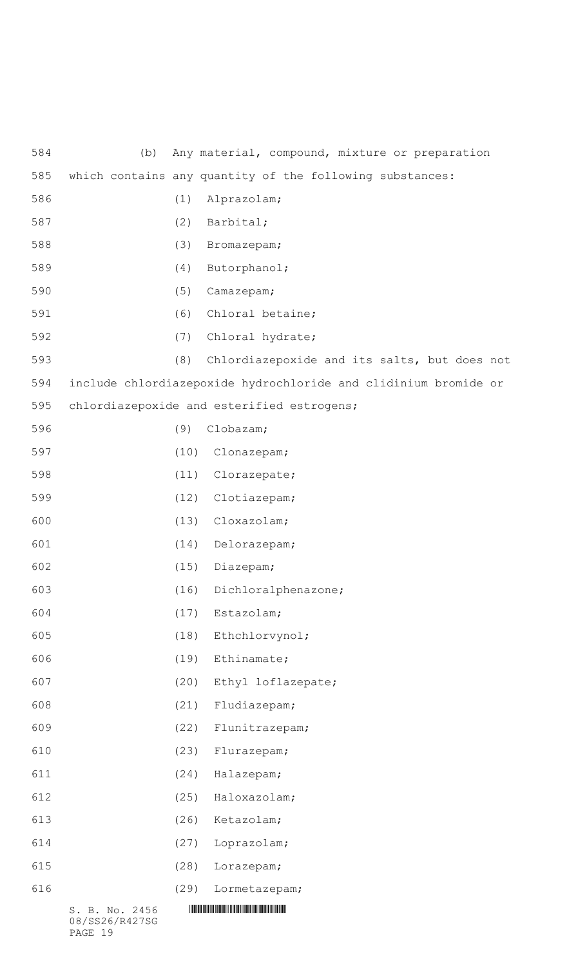| 584 | (b)                              |      | Any material, compound, mixture or preparation                  |
|-----|----------------------------------|------|-----------------------------------------------------------------|
| 585 |                                  |      | which contains any quantity of the following substances:        |
| 586 |                                  | (1)  | Alprazolam;                                                     |
| 587 |                                  | (2)  | Barbital;                                                       |
| 588 |                                  | (3)  | Bromazepam;                                                     |
| 589 |                                  | (4)  | Butorphanol;                                                    |
| 590 |                                  | (5)  | Camazepam;                                                      |
| 591 |                                  | (6)  | Chloral betaine;                                                |
| 592 |                                  | (7)  | Chloral hydrate;                                                |
| 593 |                                  | (8)  | Chlordiazepoxide and its salts, but does not                    |
| 594 |                                  |      | include chlordiazepoxide hydrochloride and clidinium bromide or |
| 595 |                                  |      | chlordiazepoxide and esterified estrogens;                      |
| 596 |                                  | (9)  | Clobazam;                                                       |
| 597 |                                  | (10) | Clonazepam;                                                     |
| 598 |                                  | (11) | Clorazepate;                                                    |
| 599 |                                  | (12) | Clotiazepam;                                                    |
| 600 |                                  | (13) | Cloxazolam;                                                     |
| 601 |                                  | (14) | Delorazepam;                                                    |
| 602 |                                  | (15) | Diazepam;                                                       |
| 603 |                                  | (16) | Dichloralphenazone;                                             |
| 604 |                                  | (17) | Estazolam;                                                      |
| 605 |                                  | (18) | Ethchlorvynol;                                                  |
| 606 |                                  | (19) | Ethinamate;                                                     |
| 607 |                                  | (20) | Ethyl loflazepate;                                              |
| 608 |                                  | (21) | Fludiazepam;                                                    |
| 609 |                                  | (22) | Flunitrazepam;                                                  |
| 610 |                                  | (23) | Flurazepam;                                                     |
| 611 |                                  | (24) | Halazepam;                                                      |
| 612 |                                  | (25) | Haloxazolam;                                                    |
| 613 |                                  | (26) | Ketazolam;                                                      |
| 614 |                                  | (27) | Loprazolam;                                                     |
| 615 |                                  | (28) | Lorazepam;                                                      |
| 616 |                                  | (29) | Lormetazepam;                                                   |
|     | S. B. No. 2456<br>08/SS26/R427SG |      |                                                                 |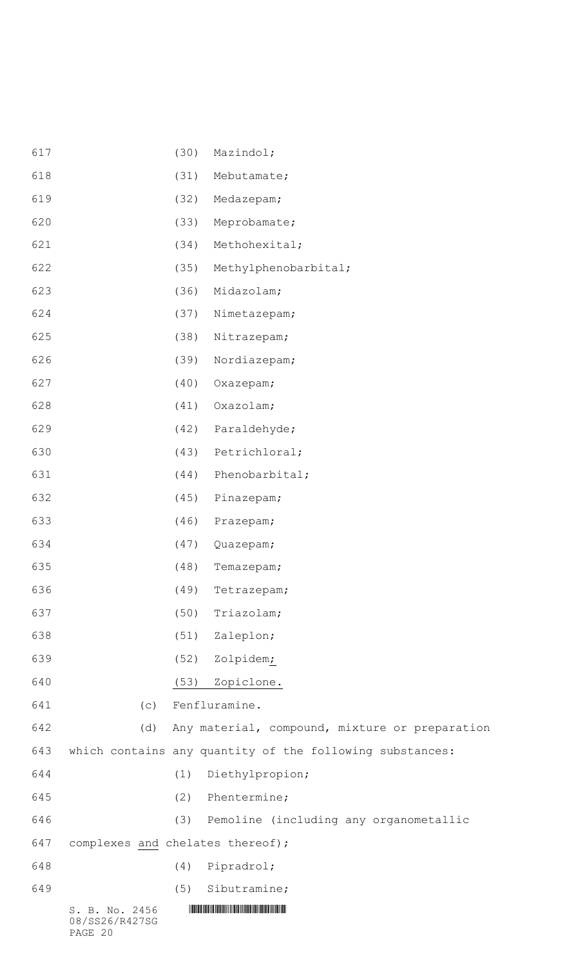| 617 | (30)                                        | Mazindol;                                                |
|-----|---------------------------------------------|----------------------------------------------------------|
| 618 | (31)                                        | Mebutamate;                                              |
| 619 | (32)                                        | Medazepam;                                               |
| 620 | (33)                                        | Meprobamate;                                             |
| 621 | (34)                                        | Methohexital;                                            |
| 622 | (35)                                        | Methylphenobarbital;                                     |
| 623 | (36)                                        | Midazolam;                                               |
| 624 | (37)                                        | Nimetazepam;                                             |
| 625 | (38)                                        | Nitrazepam;                                              |
| 626 | (39)                                        | Nordiazepam;                                             |
| 627 | (40)                                        | Oxazepam;                                                |
| 628 | (41)                                        | Oxazolam;                                                |
| 629 | (42)                                        | Paraldehyde;                                             |
| 630 | (43)                                        | Petrichloral;                                            |
| 631 | (44)                                        | Phenobarbital;                                           |
| 632 | (45)                                        | Pinazepam;                                               |
| 633 | (46)                                        | Prazepam;                                                |
| 634 | (47)                                        | Quazepam;                                                |
| 635 | (48)                                        | Temazepam;                                               |
| 636 | (49)                                        | Tetrazepam;                                              |
| 637 | (50)                                        | Triazolam;                                               |
| 638 |                                             | (51) Zaleplon;                                           |
| 639 | (52)                                        | Zolpidem;                                                |
| 640 | (53)                                        | Zopiclone.                                               |
| 641 | (C)                                         | Fenfluramine.                                            |
| 642 | (d)                                         | Any material, compound, mixture or preparation           |
| 643 |                                             | which contains any quantity of the following substances: |
| 644 | (1)                                         | Diethylpropion;                                          |
| 645 |                                             | (2) Phentermine;                                         |
| 646 | (3)                                         | Pemoline (including any organometallic                   |
| 647 | complexes and chelates thereof);            |                                                          |
| 648 | (4)                                         | Pipradrol;                                               |
| 649 | (5)                                         | Sibutramine;                                             |
|     | S. B. No. 2456<br>08/SS26/R427SG<br>PAGE 20 |                                                          |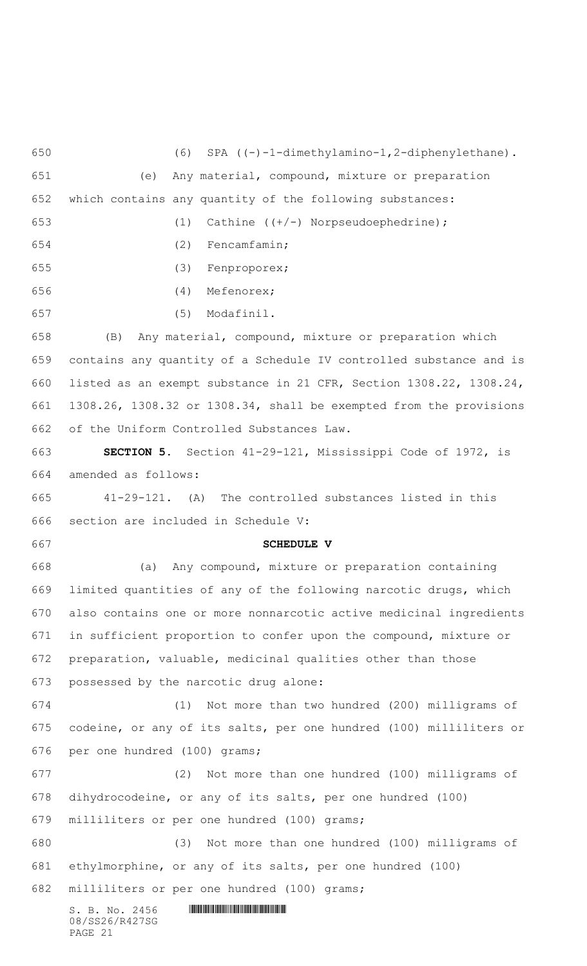$S. B. No. 2456$  .  $M$ 08/SS26/R427SG PAGE 21 (6) SPA ((-)-1-dimethylamino-1,2-diphenylethane). (e) Any material, compound, mixture or preparation which contains any quantity of the following substances: (1) Cathine ((+/-) Norpseudoephedrine); (2) Fencamfamin; (3) Fenproporex; (4) Mefenorex; (5) Modafinil. (B) Any material, compound, mixture or preparation which contains any quantity of a Schedule IV controlled substance and is listed as an exempt substance in 21 CFR, Section 1308.22, 1308.24, 1308.26, 1308.32 or 1308.34, shall be exempted from the provisions of the Uniform Controlled Substances Law. **SECTION 5.** Section 41-29-121, Mississippi Code of 1972, is amended as follows: 41-29-121. (A) The controlled substances listed in this section are included in Schedule V: **SCHEDULE V** (a) Any compound, mixture or preparation containing limited quantities of any of the following narcotic drugs, which also contains one or more nonnarcotic active medicinal ingredients in sufficient proportion to confer upon the compound, mixture or preparation, valuable, medicinal qualities other than those possessed by the narcotic drug alone: (1) Not more than two hundred (200) milligrams of codeine, or any of its salts, per one hundred (100) milliliters or per one hundred (100) grams; (2) Not more than one hundred (100) milligrams of dihydrocodeine, or any of its salts, per one hundred (100) milliliters or per one hundred (100) grams; (3) Not more than one hundred (100) milligrams of ethylmorphine, or any of its salts, per one hundred (100) milliliters or per one hundred (100) grams;